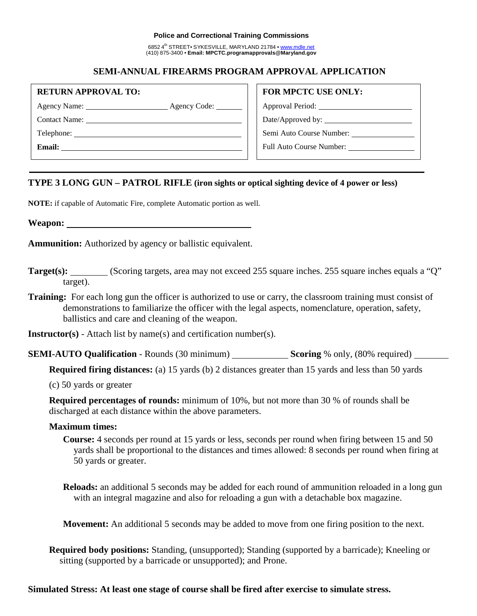#### **Police and Correctional Training Commissions**

6852 4<sup>th</sup> STREET• SYKESVILLE, MARYLAND 21784 • www.mdle.net (410) 875-3400 • **Email: MPCTC.programapprovals@Maryland.gov**

# **SEMI-ANNUAL FIREARMS PROGRAM APPROVAL APPLICATION**

| <b>RETURN APPROVAL TO:</b> |  |
|----------------------------|--|
|                            |  |

Agency Name: Agency Code:

Contact Name: Telephone:

**Email:** 

### **FOR MPCTC USE ONLY:**

Approval Period:

Date/Approved by:  $\_\_$ 

Semi Auto Course Number:

Full Auto Course Number:

# **TYPE 3 LONG GUN – PATROL RIFLE (iron sights or optical sighting device of 4 power or less)**

**NOTE:** if capable of Automatic Fire, complete Automatic portion as well.

**Weapon:**

**Ammunition:** Authorized by agency or ballistic equivalent.

- **Target(s):** (Scoring targets, area may not exceed 255 square inches. 255 square inches equals a "Q" target).
- **Training:** For each long gun the officer is authorized to use or carry, the classroom training must consist of demonstrations to familiarize the officer with the legal aspects, nomenclature, operation, safety, ballistics and care and cleaning of the weapon.

**Instructor(s)** - Attach list by name(s) and certification number(s).

**SEMI-AUTO Qualification** - Rounds (30 minimum) **Scoring** % only, (80% required)

**Required firing distances:** (a) 15 yards (b) 2 distances greater than 15 yards and less than 50 yards

(c) 50 yards or greater

**Required percentages of rounds:** minimum of 10%, but not more than 30 % of rounds shall be discharged at each distance within the above parameters.

## **Maximum times:**

**Course:** 4 seconds per round at 15 yards or less, seconds per round when firing between 15 and 50 yards shall be proportional to the distances and times allowed: 8 seconds per round when firing at 50 yards or greater.

**Reloads:** an additional 5 seconds may be added for each round of ammunition reloaded in a long gun with an integral magazine and also for reloading a gun with a detachable box magazine.

**Movement:** An additional 5 seconds may be added to move from one firing position to the next.

**Required body positions:** Standing, (unsupported); Standing (supported by a barricade); Kneeling or sitting (supported by a barricade or unsupported); and Prone.

## **Simulated Stress: At least one stage of course shall be fired after exercise to simulate stress.**